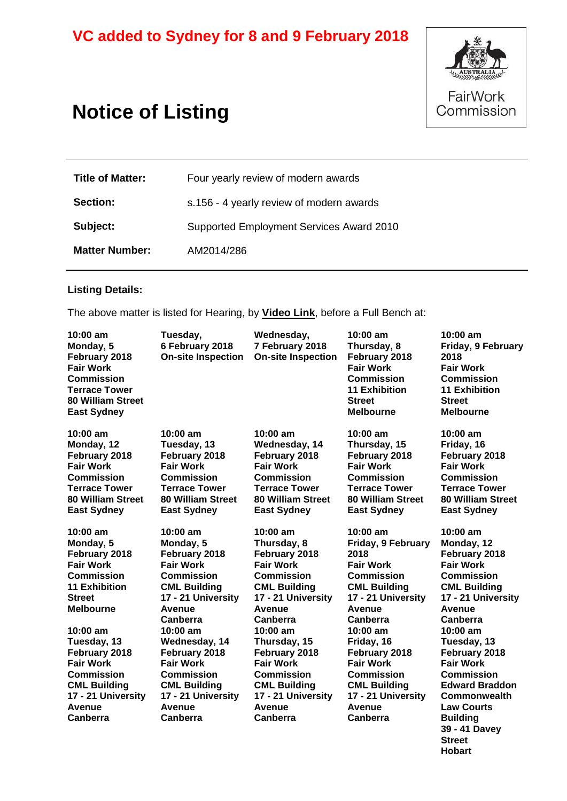# **VC added to Sydney for 8 and 9 February 2018**



**Hobart**

# **Notice of Listing**

| <b>Title of Matter:</b> | Four yearly review of modern awards      |  |  |
|-------------------------|------------------------------------------|--|--|
| <b>Section:</b>         | s.156 - 4 yearly review of modern awards |  |  |
| Subject:                | Supported Employment Services Award 2010 |  |  |
| <b>Matter Number:</b>   | AM2014/286                               |  |  |

# **Listing Details:**

The above matter is listed for Hearing, by **Video Link**, before a Full Bench at:

| $10:00$ am<br>Monday, 5<br>February 2018<br><b>Fair Work</b><br>Commission<br><b>Terrace Tower</b><br><b>80 William Street</b><br><b>East Sydney</b>                    | Tuesday,<br>6 February 2018<br><b>On-site Inspection</b>                                                                                                                          | Wednesday,<br>7 February 2018<br><b>On-site Inspection</b>                                                                                                                         | $10:00$ am<br>Thursday, 8<br>February 2018<br><b>Fair Work</b><br><b>Commission</b><br><b>11 Exhibition</b><br><b>Street</b><br><b>Melbourne</b>                               | $10:00$ am<br>Friday, 9 February<br>2018<br><b>Fair Work</b><br><b>Commission</b><br><b>11 Exhibition</b><br><b>Street</b><br><b>Melbourne</b>                                     |
|-------------------------------------------------------------------------------------------------------------------------------------------------------------------------|-----------------------------------------------------------------------------------------------------------------------------------------------------------------------------------|------------------------------------------------------------------------------------------------------------------------------------------------------------------------------------|--------------------------------------------------------------------------------------------------------------------------------------------------------------------------------|------------------------------------------------------------------------------------------------------------------------------------------------------------------------------------|
| $10:00$ am<br>Monday, 12<br>February 2018<br><b>Fair Work</b><br><b>Commission</b><br><b>Terrace Tower</b><br><b>80 William Street</b><br><b>East Sydney</b>            | $10:00$ am<br>Tuesday, 13<br>February 2018<br><b>Fair Work</b><br><b>Commission</b><br><b>Terrace Tower</b><br><b>80 William Street</b><br><b>East Sydney</b>                     | $10:00$ am<br>Wednesday, 14<br>February 2018<br><b>Fair Work</b><br><b>Commission</b><br><b>Terrace Tower</b><br><b>80 William Street</b><br><b>East Sydney</b>                    | $10:00$ am<br>Thursday, 15<br>February 2018<br><b>Fair Work</b><br><b>Commission</b><br><b>Terrace Tower</b><br><b>80 William Street</b><br><b>East Sydney</b>                 | $10:00 \text{ am}$<br>Friday, 16<br>February 2018<br><b>Fair Work</b><br><b>Commission</b><br><b>Terrace Tower</b><br><b>80 William Street</b><br><b>East Sydney</b>               |
| 10:00 am<br>Monday, 5<br>February 2018<br><b>Fair Work</b><br><b>Commission</b><br><b>11 Exhibition</b><br><b>Street</b><br><b>Melbourne</b><br>10:00 am<br>Tuesday, 13 | 10:00 am<br>Monday, 5<br>February 2018<br><b>Fair Work</b><br><b>Commission</b><br><b>CML Building</b><br>17 - 21 University<br>Avenue<br>Canberra<br>$10:00$ am<br>Wednesday, 14 | $10:00$ am<br>Thursday, 8<br>February 2018<br><b>Fair Work</b><br><b>Commission</b><br><b>CML Building</b><br>17 - 21 University<br>Avenue<br>Canberra<br>10:00 am<br>Thursday, 15 | 10:00 am<br>Friday, 9 February<br>2018<br><b>Fair Work</b><br><b>Commission</b><br><b>CML Building</b><br>17 - 21 University<br>Avenue<br>Canberra<br>$10:00$ am<br>Friday, 16 | $10:00$ am<br>Monday, 12<br>February 2018<br><b>Fair Work</b><br><b>Commission</b><br><b>CML Building</b><br>17 - 21 University<br>Avenue<br>Canberra<br>$10:00$ am<br>Tuesday, 13 |
| February 2018<br><b>Fair Work</b><br><b>Commission</b><br><b>CML Building</b><br>17 - 21 University<br>Avenue<br>Canberra                                               | February 2018<br><b>Fair Work</b><br><b>Commission</b><br><b>CML Building</b><br>17 - 21 University<br>Avenue<br>Canberra                                                         | February 2018<br><b>Fair Work</b><br><b>Commission</b><br><b>CML Building</b><br>17 - 21 University<br>Avenue<br>Canberra                                                          | February 2018<br><b>Fair Work</b><br><b>Commission</b><br><b>CML Building</b><br>17 - 21 University<br>Avenue<br>Canberra                                                      | February 2018<br><b>Fair Work</b><br><b>Commission</b><br><b>Edward Braddon</b><br><b>Commonwealth</b><br><b>Law Courts</b><br><b>Building</b><br>39 - 41 Davey<br><b>Street</b>   |